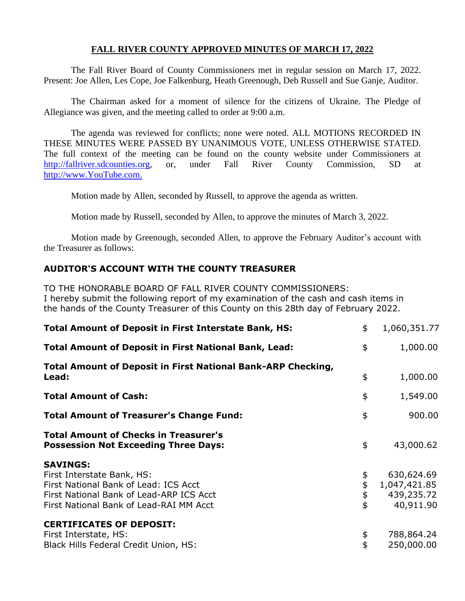## **FALL RIVER COUNTY APPROVED MINUTES OF MARCH 17, 2022**

The Fall River Board of County Commissioners met in regular session on March 17, 2022. Present: Joe Allen, Les Cope, Joe Falkenburg, Heath Greenough, Deb Russell and Sue Ganje, Auditor.

The Chairman asked for a moment of silence for the citizens of Ukraine. The Pledge of Allegiance was given, and the meeting called to order at 9:00 a.m.

The agenda was reviewed for conflicts; none were noted. ALL MOTIONS RECORDED IN THESE MINUTES WERE PASSED BY UNANIMOUS VOTE, UNLESS OTHERWISE STATED. The full context of the meeting can be found on the county website under Commissioners at [http://fallriver.sdcounties.org,](http://fallriver.sdcounties.org/) or, under Fall River County Commission, SD at [http://www.YouTube.com.](http://www.youtube.com/)

Motion made by Allen, seconded by Russell, to approve the agenda as written.

Motion made by Russell, seconded by Allen, to approve the minutes of March 3, 2022.

Motion made by Greenough, seconded Allen, to approve the February Auditor's account with the Treasurer as follows:

# **AUDITOR'S ACCOUNT WITH THE COUNTY TREASURER**

TO THE HONORABLE BOARD OF FALL RIVER COUNTY COMMISSIONERS: I hereby submit the following report of my examination of the cash and cash items in the hands of the County Treasurer of this County on this 28th day of February 2022.

| <b>Total Amount of Deposit in First Interstate Bank, HS:</b>                                                                                                                  | \$         | 1,060,351.77                                          |
|-------------------------------------------------------------------------------------------------------------------------------------------------------------------------------|------------|-------------------------------------------------------|
| <b>Total Amount of Deposit in First National Bank, Lead:</b>                                                                                                                  | \$         | 1,000.00                                              |
| <b>Total Amount of Deposit in First National Bank-ARP Checking,</b>                                                                                                           |            |                                                       |
| Lead:                                                                                                                                                                         | \$         | 1,000.00                                              |
| <b>Total Amount of Cash:</b>                                                                                                                                                  | $\ddagger$ | 1,549.00                                              |
| <b>Total Amount of Treasurer's Change Fund:</b>                                                                                                                               | $\ddagger$ | 900.00                                                |
| <b>Total Amount of Checks in Treasurer's</b><br><b>Possession Not Exceeding Three Days:</b>                                                                                   | \$         | 43,000.62                                             |
| <b>SAVINGS:</b><br>First Interstate Bank, HS:<br>First National Bank of Lead: ICS Acct<br>First National Bank of Lead-ARP ICS Acct<br>First National Bank of Lead-RAI MM Acct | \$\$\$\$   | 630,624.69<br>1,047,421.85<br>439,235.72<br>40,911.90 |
| <b>CERTIFICATES OF DEPOSIT:</b><br>First Interstate, HS:<br>Black Hills Federal Credit Union, HS:                                                                             | \$<br>\$   | 788,864.24<br>250,000.00                              |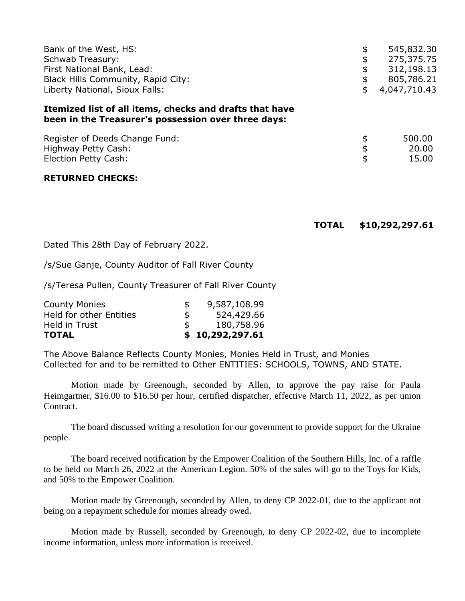| Bank of the West, HS:<br><b>Schwab Treasury:</b><br>First National Bank, Lead:<br>Black Hills Community, Rapid City:<br>Liberty National, Sioux Falls: | \$<br>\$<br>\$<br>\$<br>\$ | 545,832.30<br>275,375.75<br>312,198.13<br>805,786.21<br>4,047,710.43 |
|--------------------------------------------------------------------------------------------------------------------------------------------------------|----------------------------|----------------------------------------------------------------------|
| Itemized list of all items, checks and drafts that have<br>been in the Treasurer's possession over three days:                                         |                            |                                                                      |
| Register of Deeds Change Fund:<br>Highway Petty Cash:<br>Election Petty Cash:<br><b>RETURNED CHECKS:</b>                                               | \$<br>\$<br>\$             | 500.00<br>20.00<br>15.00                                             |
|                                                                                                                                                        |                            |                                                                      |

**TOTAL \$10,292,297.61** 

Dated This 28th Day of February 2022.

/s/Sue Ganje, County Auditor of Fall River County

/s/Teresa Pullen, County Treasurer of Fall River County

| <b>TOTAL</b>                   |     | \$10,292,297.61 |
|--------------------------------|-----|-----------------|
| Held in Trust                  | \$. | 180,758.96      |
| <b>Held for other Entities</b> | \$  | 524,429.66      |
| <b>County Monies</b>           | S   | 9,587,108.99    |

The Above Balance Reflects County Monies, Monies Held in Trust, and Monies Collected for and to be remitted to Other ENTITIES: SCHOOLS, TOWNS, AND STATE.

Motion made by Greenough, seconded by Allen, to approve the pay raise for Paula Heimgartner, \$16.00 to \$16.50 per hour, certified dispatcher, effective March 11, 2022, as per union Contract.

The board discussed writing a resolution for our government to provide support for the Ukraine people.

The board received notification by the Empower Coalition of the Southern Hills, Inc. of a raffle to be held on March 26, 2022 at the American Legion. 50% of the sales will go to the Toys for Kids, and 50% to the Empower Coalition.

Motion made by Greenough, seconded by Allen, to deny CP 2022-01, due to the applicant not being on a repayment schedule for monies already owed.

Motion made by Russell, seconded by Greenough, to deny CP 2022-02, due to incomplete income information, unless more information is received.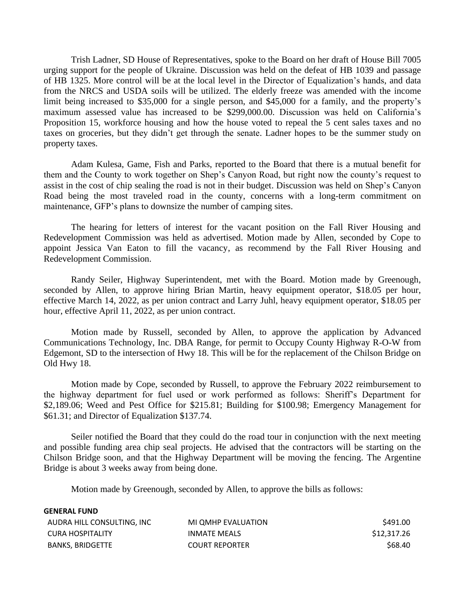Trish Ladner, SD House of Representatives, spoke to the Board on her draft of House Bill 7005 urging support for the people of Ukraine. Discussion was held on the defeat of HB 1039 and passage of HB 1325. More control will be at the local level in the Director of Equalization's hands, and data from the NRCS and USDA soils will be utilized. The elderly freeze was amended with the income limit being increased to \$35,000 for a single person, and \$45,000 for a family, and the property's maximum assessed value has increased to be \$299,000.00. Discussion was held on California's Proposition 15, workforce housing and how the house voted to repeal the 5 cent sales taxes and no taxes on groceries, but they didn't get through the senate. Ladner hopes to be the summer study on property taxes.

Adam Kulesa, Game, Fish and Parks, reported to the Board that there is a mutual benefit for them and the County to work together on Shep's Canyon Road, but right now the county's request to assist in the cost of chip sealing the road is not in their budget. Discussion was held on Shep's Canyon Road being the most traveled road in the county, concerns with a long-term commitment on maintenance, GFP's plans to downsize the number of camping sites.

The hearing for letters of interest for the vacant position on the Fall River Housing and Redevelopment Commission was held as advertised. Motion made by Allen, seconded by Cope to appoint Jessica Van Eaton to fill the vacancy, as recommend by the Fall River Housing and Redevelopment Commission.

Randy Seiler, Highway Superintendent, met with the Board. Motion made by Greenough, seconded by Allen, to approve hiring Brian Martin, heavy equipment operator, \$18.05 per hour, effective March 14, 2022, as per union contract and Larry Juhl, heavy equipment operator, \$18.05 per hour, effective April 11, 2022, as per union contract.

Motion made by Russell, seconded by Allen, to approve the application by Advanced Communications Technology, Inc. DBA Range, for permit to Occupy County Highway R-O-W from Edgemont, SD to the intersection of Hwy 18. This will be for the replacement of the Chilson Bridge on Old Hwy 18.

Motion made by Cope, seconded by Russell, to approve the February 2022 reimbursement to the highway department for fuel used or work performed as follows: Sheriff's Department for \$2,189.06; Weed and Pest Office for \$215.81; Building for \$100.98; Emergency Management for \$61.31; and Director of Equalization \$137.74.

Seiler notified the Board that they could do the road tour in conjunction with the next meeting and possible funding area chip seal projects. He advised that the contractors will be starting on the Chilson Bridge soon, and that the Highway Department will be moving the fencing. The Argentine Bridge is about 3 weeks away from being done.

Motion made by Greenough, seconded by Allen, to approve the bills as follows:

**GENERAL FUND**

| AUDRA HILL CONSULTING, INC | MI OMHP EVALUATION    | \$491.00    |
|----------------------------|-----------------------|-------------|
| CURA HOSPITALITY           | INMATE MEALS          | \$12,317.26 |
| BANKS, BRIDGETTE           | <b>COURT REPORTER</b> | \$68.40     |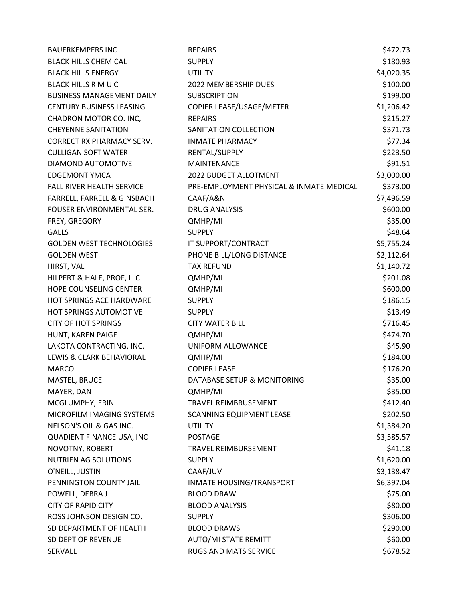| <b>BAUERKEMPERS INC</b>          | <b>REPAIRS</b>                           | \$472.73   |
|----------------------------------|------------------------------------------|------------|
| <b>BLACK HILLS CHEMICAL</b>      | <b>SUPPLY</b>                            | \$180.93   |
| <b>BLACK HILLS ENERGY</b>        | <b>UTILITY</b>                           | \$4,020.35 |
| <b>BLACK HILLS R M U C</b>       | 2022 MEMBERSHIP DUES                     | \$100.00   |
| <b>BUSINESS MANAGEMENT DAILY</b> | <b>SUBSCRIPTION</b>                      | \$199.00   |
| <b>CENTURY BUSINESS LEASING</b>  | COPIER LEASE/USAGE/METER                 | \$1,206.42 |
| CHADRON MOTOR CO. INC,           | <b>REPAIRS</b>                           | \$215.27   |
| <b>CHEYENNE SANITATION</b>       | SANITATION COLLECTION                    | \$371.73   |
| <b>CORRECT RX PHARMACY SERV.</b> | <b>INMATE PHARMACY</b>                   | \$77.34    |
| <b>CULLIGAN SOFT WATER</b>       | RENTAL/SUPPLY                            | \$223.50   |
| DIAMOND AUTOMOTIVE               | <b>MAINTENANCE</b>                       | \$91.51    |
| <b>EDGEMONT YMCA</b>             | 2022 BUDGET ALLOTMENT                    | \$3,000.00 |
| FALL RIVER HEALTH SERVICE        | PRE-EMPLOYMENT PHYSICAL & INMATE MEDICAL | \$373.00   |
| FARRELL, FARRELL & GINSBACH      | CAAF/A&N                                 | \$7,496.59 |
| FOUSER ENVIRONMENTAL SER.        | <b>DRUG ANALYSIS</b>                     | \$600.00   |
| FREY, GREGORY                    | QMHP/MI                                  | \$35.00    |
| <b>GALLS</b>                     | <b>SUPPLY</b>                            | \$48.64    |
| <b>GOLDEN WEST TECHNOLOGIES</b>  | IT SUPPORT/CONTRACT                      | \$5,755.24 |
| <b>GOLDEN WEST</b>               | PHONE BILL/LONG DISTANCE                 | \$2,112.64 |
| HIRST, VAL                       | <b>TAX REFUND</b>                        | \$1,140.72 |
| HILPERT & HALE, PROF, LLC        | QMHP/MI                                  | \$201.08   |
| HOPE COUNSELING CENTER           | QMHP/MI                                  | \$600.00   |
| HOT SPRINGS ACE HARDWARE         | <b>SUPPLY</b>                            | \$186.15   |
| HOT SPRINGS AUTOMOTIVE           | <b>SUPPLY</b>                            | \$13.49    |
| <b>CITY OF HOT SPRINGS</b>       | <b>CITY WATER BILL</b>                   | \$716.45   |
| HUNT, KAREN PAIGE                | QMHP/MI                                  | \$474.70   |
| LAKOTA CONTRACTING, INC.         | UNIFORM ALLOWANCE                        | \$45.90    |
| LEWIS & CLARK BEHAVIORAL         | QMHP/MI                                  | \$184.00   |
| <b>MARCO</b>                     | <b>COPIER LEASE</b>                      | \$176.20   |
| MASTEL, BRUCE                    | DATABASE SETUP & MONITORING              | \$35.00    |
| MAYER, DAN                       | QMHP/MI                                  | \$35.00    |
| MCGLUMPHY, ERIN                  | TRAVEL REIMBRUSEMENT                     | \$412.40   |
| MICROFILM IMAGING SYSTEMS        | <b>SCANNING EQUIPMENT LEASE</b>          | \$202.50   |
| NELSON'S OIL & GAS INC.          | <b>UTILITY</b>                           | \$1,384.20 |
| QUADIENT FINANCE USA, INC        | <b>POSTAGE</b>                           | \$3,585.57 |
| NOVOTNY, ROBERT                  | <b>TRAVEL REIMBURSEMENT</b>              | \$41.18    |
| <b>NUTRIEN AG SOLUTIONS</b>      | <b>SUPPLY</b>                            | \$1,620.00 |
| O'NEILL, JUSTIN                  | CAAF/JUV                                 | \$3,138.47 |
| PENNINGTON COUNTY JAIL           | INMATE HOUSING/TRANSPORT                 | \$6,397.04 |
| POWELL, DEBRA J                  | <b>BLOOD DRAW</b>                        | \$75.00    |
| <b>CITY OF RAPID CITY</b>        | <b>BLOOD ANALYSIS</b>                    | \$80.00    |
| ROSS JOHNSON DESIGN CO.          | <b>SUPPLY</b>                            | \$306.00   |
| SD DEPARTMENT OF HEALTH          | <b>BLOOD DRAWS</b>                       | \$290.00   |
| SD DEPT OF REVENUE               | AUTO/MI STATE REMITT                     | \$60.00    |
| SERVALL                          | RUGS AND MATS SERVICE                    | \$678.52   |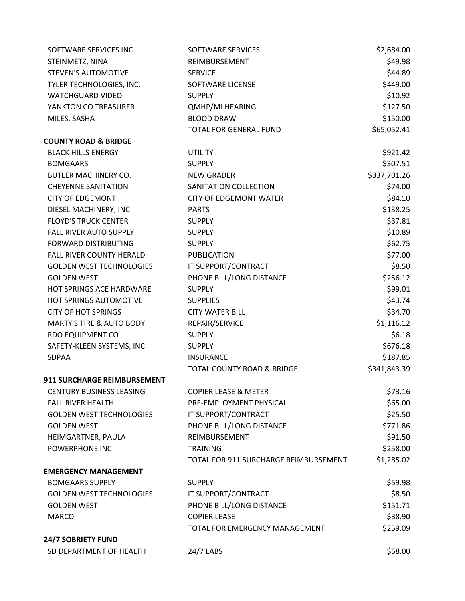| SOFTWARE SERVICES INC               | SOFTWARE SERVICES                     | \$2,684.00   |
|-------------------------------------|---------------------------------------|--------------|
| STEINMETZ, NINA                     | REIMBURSEMENT                         | \$49.98      |
| <b>STEVEN'S AUTOMOTIVE</b>          | <b>SERVICE</b>                        | \$44.89      |
| TYLER TECHNOLOGIES, INC.            | SOFTWARE LICENSE                      | \$449.00     |
| <b>WATCHGUARD VIDEO</b>             | <b>SUPPLY</b>                         | \$10.92      |
| YANKTON CO TREASURER                | <b>QMHP/MI HEARING</b>                | \$127.50     |
| MILES, SASHA                        | <b>BLOOD DRAW</b>                     | \$150.00     |
|                                     | TOTAL FOR GENERAL FUND                | \$65,052.41  |
| <b>COUNTY ROAD &amp; BRIDGE</b>     |                                       |              |
| <b>BLACK HILLS ENERGY</b>           | <b>UTILITY</b>                        | \$921.42     |
| <b>BOMGAARS</b>                     | <b>SUPPLY</b>                         | \$307.51     |
| <b>BUTLER MACHINERY CO.</b>         | <b>NEW GRADER</b>                     | \$337,701.26 |
| <b>CHEYENNE SANITATION</b>          | SANITATION COLLECTION                 | \$74.00      |
| <b>CITY OF EDGEMONT</b>             | <b>CITY OF EDGEMONT WATER</b>         | \$84.10      |
| DIESEL MACHINERY, INC               | <b>PARTS</b>                          | \$138.25     |
| <b>FLOYD'S TRUCK CENTER</b>         | <b>SUPPLY</b>                         | \$37.81      |
| <b>FALL RIVER AUTO SUPPLY</b>       | <b>SUPPLY</b>                         | \$10.89      |
| <b>FORWARD DISTRIBUTING</b>         | <b>SUPPLY</b>                         | \$62.75      |
| FALL RIVER COUNTY HERALD            | <b>PUBLICATION</b>                    | \$77.00      |
| <b>GOLDEN WEST TECHNOLOGIES</b>     | IT SUPPORT/CONTRACT                   | \$8.50       |
| <b>GOLDEN WEST</b>                  | PHONE BILL/LONG DISTANCE              | \$256.12     |
| HOT SPRINGS ACE HARDWARE            | <b>SUPPLY</b>                         | \$99.01      |
| HOT SPRINGS AUTOMOTIVE              | <b>SUPPLIES</b>                       | \$43.74      |
| <b>CITY OF HOT SPRINGS</b>          | <b>CITY WATER BILL</b>                | \$34.70      |
| <b>MARTY'S TIRE &amp; AUTO BODY</b> | REPAIR/SERVICE                        | \$1,116.12   |
| RDO EQUIPMENT CO                    | <b>SUPPLY</b>                         | \$6.18       |
| SAFETY-KLEEN SYSTEMS, INC           | <b>SUPPLY</b>                         | \$676.18     |
| SDPAA                               | <b>INSURANCE</b>                      | \$187.85     |
|                                     | <b>TOTAL COUNTY ROAD &amp; BRIDGE</b> | \$341,843.39 |
| 911 SURCHARGE REIMBURSEMENT         |                                       |              |
| <b>CENTURY BUSINESS LEASING</b>     | <b>COPIER LEASE &amp; METER</b>       | \$73.16      |
| <b>FALL RIVER HEALTH</b>            | PRE-EMPLOYMENT PHYSICAL               | \$65.00      |
| <b>GOLDEN WEST TECHNOLOGIES</b>     | IT SUPPORT/CONTRACT                   | \$25.50      |
| <b>GOLDEN WEST</b>                  | PHONE BILL/LONG DISTANCE              | \$771.86     |
| HEIMGARTNER, PAULA                  | REIMBURSEMENT                         | \$91.50      |
| POWERPHONE INC                      | <b>TRAINING</b>                       | \$258.00     |
|                                     | TOTAL FOR 911 SURCHARGE REIMBURSEMENT | \$1,285.02   |
| <b>EMERGENCY MANAGEMENT</b>         |                                       |              |
| <b>BOMGAARS SUPPLY</b>              | <b>SUPPLY</b>                         | \$59.98      |
| <b>GOLDEN WEST TECHNOLOGIES</b>     | IT SUPPORT/CONTRACT                   | \$8.50       |
| <b>GOLDEN WEST</b>                  | PHONE BILL/LONG DISTANCE              | \$151.71     |
| <b>MARCO</b>                        | <b>COPIER LEASE</b>                   | \$38.90      |
|                                     | TOTAL FOR EMERGENCY MANAGEMENT        | \$259.09     |
| <b>24/7 SOBRIETY FUND</b>           |                                       |              |
| SD DEPARTMENT OF HEALTH             | 24/7 LABS                             | \$58.00      |
|                                     |                                       |              |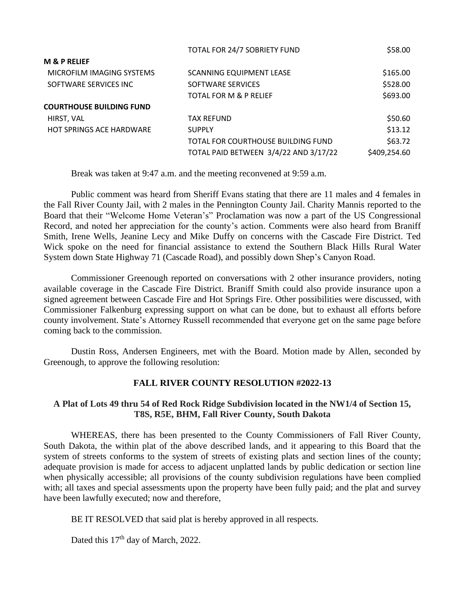|                                 | TOTAL FOR 24/7 SOBRIETY FUND          | \$58.00      |
|---------------------------------|---------------------------------------|--------------|
| <b>M &amp; P RELIEF</b>         |                                       |              |
| MICROFILM IMAGING SYSTEMS       | SCANNING EQUIPMENT LEASE              | \$165.00     |
| SOFTWARE SERVICES INC           | SOFTWARE SERVICES                     | \$528.00     |
|                                 | TOTAL FOR M & P RELIEF                | \$693.00     |
| <b>COURTHOUSE BUILDING FUND</b> |                                       |              |
| HIRST, VAL                      | <b>TAX REFUND</b>                     | \$50.60      |
| <b>HOT SPRINGS ACE HARDWARE</b> | <b>SUPPLY</b>                         | \$13.12      |
|                                 | TOTAL FOR COURTHOUSE BUILDING FUND    | \$63.72      |
|                                 | TOTAL PAID BETWEEN 3/4/22 AND 3/17/22 | \$409,254.60 |

Break was taken at 9:47 a.m. and the meeting reconvened at 9:59 a.m.

Public comment was heard from Sheriff Evans stating that there are 11 males and 4 females in the Fall River County Jail, with 2 males in the Pennington County Jail. Charity Mannis reported to the Board that their "Welcome Home Veteran's" Proclamation was now a part of the US Congressional Record, and noted her appreciation for the county's action. Comments were also heard from Braniff Smith, Irene Wells, Jeanine Lecy and Mike Duffy on concerns with the Cascade Fire District. Ted Wick spoke on the need for financial assistance to extend the Southern Black Hills Rural Water System down State Highway 71 (Cascade Road), and possibly down Shep's Canyon Road.

Commissioner Greenough reported on conversations with 2 other insurance providers, noting available coverage in the Cascade Fire District. Braniff Smith could also provide insurance upon a signed agreement between Cascade Fire and Hot Springs Fire. Other possibilities were discussed, with Commissioner Falkenburg expressing support on what can be done, but to exhaust all efforts before county involvement. State's Attorney Russell recommended that everyone get on the same page before coming back to the commission.

Dustin Ross, Andersen Engineers, met with the Board. Motion made by Allen, seconded by Greenough, to approve the following resolution:

## **FALL RIVER COUNTY RESOLUTION #2022-13**

## **A Plat of Lots 49 thru 54 of Red Rock Ridge Subdivision located in the NW1/4 of Section 15, T8S, R5E, BHM, Fall River County, South Dakota**

WHEREAS, there has been presented to the County Commissioners of Fall River County, South Dakota, the within plat of the above described lands, and it appearing to this Board that the system of streets conforms to the system of streets of existing plats and section lines of the county; adequate provision is made for access to adjacent unplatted lands by public dedication or section line when physically accessible; all provisions of the county subdivision regulations have been complied with; all taxes and special assessments upon the property have been fully paid; and the plat and survey have been lawfully executed; now and therefore,

BE IT RESOLVED that said plat is hereby approved in all respects.

Dated this 17<sup>th</sup> day of March, 2022.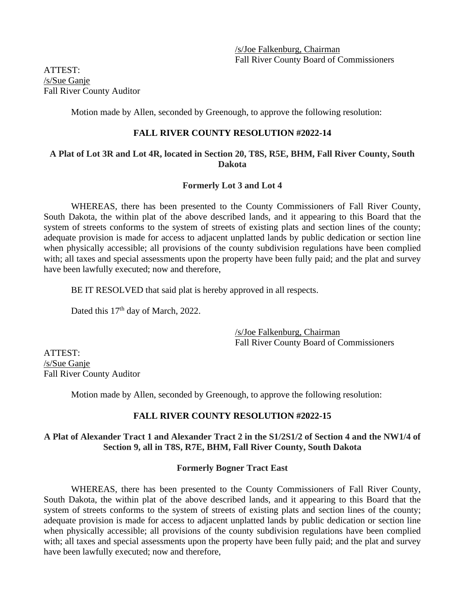ATTEST: /s/Sue Ganje Fall River County Auditor

Motion made by Allen, seconded by Greenough, to approve the following resolution:

### **FALL RIVER COUNTY RESOLUTION #2022-14**

## **A Plat of Lot 3R and Lot 4R, located in Section 20, T8S, R5E, BHM, Fall River County, South Dakota**

#### **Formerly Lot 3 and Lot 4**

WHEREAS, there has been presented to the County Commissioners of Fall River County, South Dakota, the within plat of the above described lands, and it appearing to this Board that the system of streets conforms to the system of streets of existing plats and section lines of the county; adequate provision is made for access to adjacent unplatted lands by public dedication or section line when physically accessible; all provisions of the county subdivision regulations have been complied with; all taxes and special assessments upon the property have been fully paid; and the plat and survey have been lawfully executed; now and therefore,

BE IT RESOLVED that said plat is hereby approved in all respects.

Dated this 17<sup>th</sup> day of March, 2022.

/s/Joe Falkenburg, Chairman Fall River County Board of Commissioners

ATTEST: /s/Sue Ganje Fall River County Auditor

Motion made by Allen, seconded by Greenough, to approve the following resolution:

## **FALL RIVER COUNTY RESOLUTION #2022-15**

## **A Plat of Alexander Tract 1 and Alexander Tract 2 in the S1/2S1/2 of Section 4 and the NW1/4 of Section 9, all in T8S, R7E, BHM, Fall River County, South Dakota**

#### **Formerly Bogner Tract East**

WHEREAS, there has been presented to the County Commissioners of Fall River County, South Dakota, the within plat of the above described lands, and it appearing to this Board that the system of streets conforms to the system of streets of existing plats and section lines of the county; adequate provision is made for access to adjacent unplatted lands by public dedication or section line when physically accessible; all provisions of the county subdivision regulations have been complied with; all taxes and special assessments upon the property have been fully paid; and the plat and survey have been lawfully executed; now and therefore,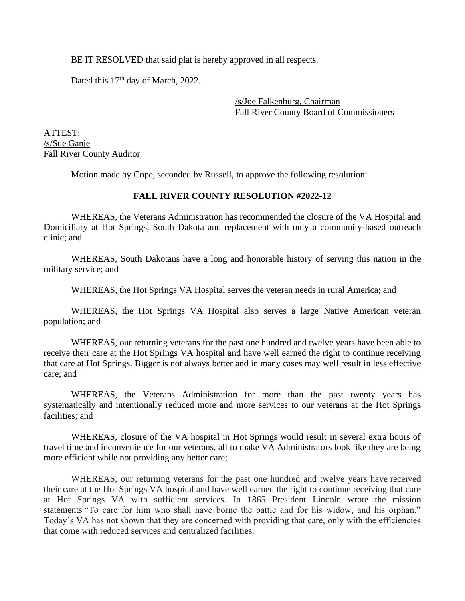BE IT RESOLVED that said plat is hereby approved in all respects.

Dated this 17<sup>th</sup> day of March, 2022.

/s/Joe Falkenburg, Chairman Fall River County Board of Commissioners

ATTEST: /s/Sue Ganje Fall River County Auditor

Motion made by Cope, seconded by Russell, to approve the following resolution:

## **FALL RIVER COUNTY RESOLUTION #2022-12**

WHEREAS, the Veterans Administration has recommended the closure of the VA Hospital and Domiciliary at Hot Springs, South Dakota and replacement with only a community-based outreach clinic; and

WHEREAS, South Dakotans have a long and honorable history of serving this nation in the military service; and

WHEREAS, the Hot Springs VA Hospital serves the veteran needs in rural America; and

WHEREAS, the Hot Springs VA Hospital also serves a large Native American veteran population; and

WHEREAS, our returning veterans for the past one hundred and twelve years have been able to receive their care at the Hot Springs VA hospital and have well earned the right to continue receiving that care at Hot Springs. Bigger is not always better and in many cases may well result in less effective care; and

WHEREAS, the Veterans Administration for more than the past twenty years has systematically and intentionally reduced more and more services to our veterans at the Hot Springs facilities; and

WHEREAS, closure of the VA hospital in Hot Springs would result in several extra hours of travel time and inconvenience for our veterans, all to make VA Administrators look like they are being more efficient while not providing any better care;

WHEREAS, our returning veterans for the past one hundred and twelve years have received their care at the Hot Springs VA hospital and have well earned the right to continue receiving that care at Hot Springs VA with sufficient services. In 1865 President Lincoln wrote the mission statements "To care for him who shall have borne the battle and for his widow, and his orphan." Today's VA has not shown that they are concerned with providing that care, only with the efficiencies that come with reduced services and centralized facilities.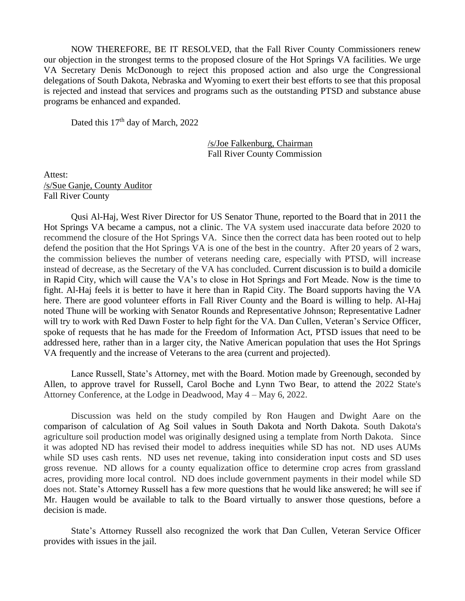NOW THEREFORE, BE IT RESOLVED, that the Fall River County Commissioners renew our objection in the strongest terms to the proposed closure of the Hot Springs VA facilities. We urge VA Secretary Denis McDonough to reject this proposed action and also urge the Congressional delegations of South Dakota, Nebraska and Wyoming to exert their best efforts to see that this proposal is rejected and instead that services and programs such as the outstanding PTSD and substance abuse programs be enhanced and expanded.

Dated this 17<sup>th</sup> day of March, 2022

/s/Joe Falkenburg, Chairman Fall River County Commission

Attest: /s/Sue Ganje, County Auditor Fall River County

Qusi Al-Haj, West River Director for US Senator Thune, reported to the Board that in 2011 the Hot Springs VA became a campus, not a clinic. The VA system used inaccurate data before 2020 to recommend the closure of the Hot Springs VA. Since then the correct data has been rooted out to help defend the position that the Hot Springs VA is one of the best in the country. After 20 years of 2 wars, the commission believes the number of veterans needing care, especially with PTSD, will increase instead of decrease, as the Secretary of the VA has concluded. Current discussion is to build a domicile in Rapid City, which will cause the VA's to close in Hot Springs and Fort Meade. Now is the time to fight. Al-Haj feels it is better to have it here than in Rapid City. The Board supports having the VA here. There are good volunteer efforts in Fall River County and the Board is willing to help. Al-Haj noted Thune will be working with Senator Rounds and Representative Johnson; Representative Ladner will try to work with Red Dawn Foster to help fight for the VA. Dan Cullen, Veteran's Service Officer, spoke of requests that he has made for the Freedom of Information Act, PTSD issues that need to be addressed here, rather than in a larger city, the Native American population that uses the Hot Springs VA frequently and the increase of Veterans to the area (current and projected).

Lance Russell, State's Attorney, met with the Board. Motion made by Greenough, seconded by Allen, to approve travel for Russell, Carol Boche and Lynn Two Bear, to attend the 2022 State's Attorney Conference, at the Lodge in Deadwood, May 4 – May 6, 2022.

Discussion was held on the study compiled by Ron Haugen and Dwight Aare on the comparison of calculation of Ag Soil values in South Dakota and North Dakota. South Dakota's agriculture soil production model was originally designed using a template from North Dakota. Since it was adopted ND has revised their model to address inequities while SD has not. ND uses AUMs while SD uses cash rents. ND uses net revenue, taking into consideration input costs and SD uses gross revenue. ND allows for a county equalization office to determine crop acres from grassland acres, providing more local control. ND does include government payments in their model while SD does not. State's Attorney Russell has a few more questions that he would like answered; he will see if Mr. Haugen would be available to talk to the Board virtually to answer those questions, before a decision is made.

State's Attorney Russell also recognized the work that Dan Cullen, Veteran Service Officer provides with issues in the jail.